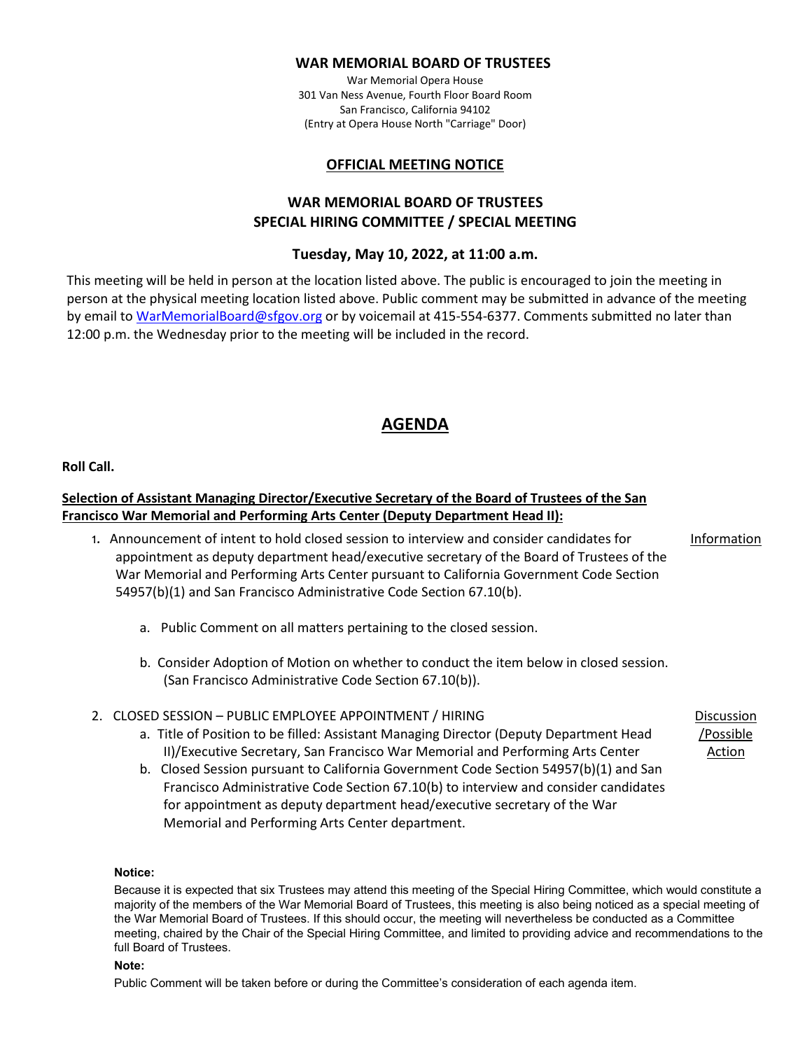### **WAR MEMORIAL BOARD OF TRUSTEES**

War Memorial Opera House 301 Van Ness Avenue, Fourth Floor Board Room San Francisco, California 94102 (Entry at Opera House North "Carriage" Door)

## **OFFICIAL MEETING NOTICE**

# **WAR MEMORIAL BOARD OF TRUSTEES SPECIAL HIRING COMMITTEE / SPECIAL MEETING**

## **Tuesday, May 10, 2022, at 11:00 a.m.**

This meeting will be held in person at the location listed above. The public is encouraged to join the meeting in person at the physical meeting location listed above. Public comment may be submitted in advance of the meeting by email t[o WarMemorialBoard@sfgov.org](mailto:WarMemorialBoard@sfgov.org) or by voicemail at 415-554-6377. Comments submitted no later than 12:00 p.m. the Wednesday prior to the meeting will be included in the record.

# **AGENDA**

**Roll Call.** 

# **Selection of Assistant Managing Director/Executive Secretary of the Board of Trustees of the San Francisco War Memorial and Performing Arts Center (Deputy Department Head II):**

1. Announcement of intent to hold closed session to interview and consider candidates for appointment as deputy department head/executive secretary of the Board of Trustees of the War Memorial and Performing Arts Center pursuant to California Government Code Section 54957(b)(1) and San Francisco Administrative Code Section 67.10(b).

Information

Discussion /Possible Action

- a. Public Comment on all matters pertaining to the closed session.
- b. Consider Adoption of Motion on whether to conduct the item below in closed session. (San Francisco Administrative Code Section 67.10(b)).

### 2. CLOSED SESSION – PUBLIC EMPLOYEE APPOINTMENT / HIRING

- a. Title of Position to be filled: Assistant Managing Director (Deputy Department Head II)/Executive Secretary, San Francisco War Memorial and Performing Arts Center
- b. Closed Session pursuant to California Government Code Section 54957(b)(1) and San Francisco Administrative Code Section 67.10(b) to interview and consider candidates for appointment as deputy department head/executive secretary of the War Memorial and Performing Arts Center department.

#### **Notice:**

Because it is expected that six Trustees may attend this meeting of the Special Hiring Committee, which would constitute a majority of the members of the War Memorial Board of Trustees, this meeting is also being noticed as a special meeting of the War Memorial Board of Trustees. If this should occur, the meeting will nevertheless be conducted as a Committee meeting, chaired by the Chair of the Special Hiring Committee, and limited to providing advice and recommendations to the full Board of Trustees.

#### **Note:**

Public Comment will be taken before or during the Committee's consideration of each agenda item.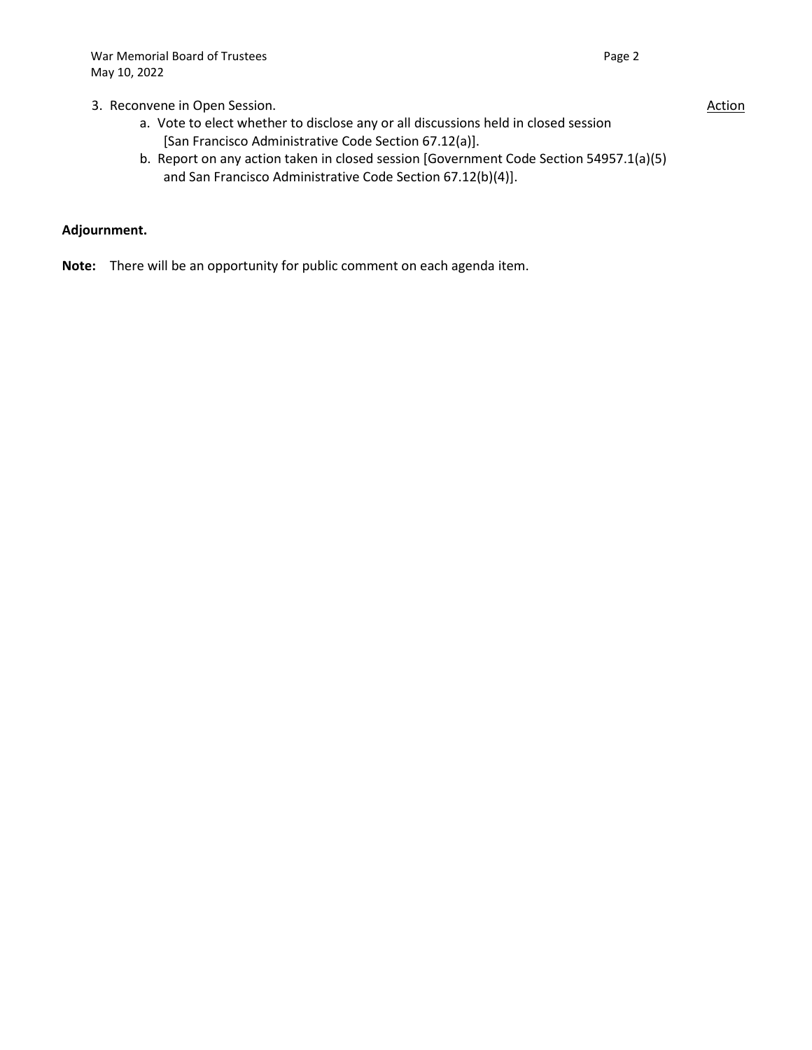## 3. Reconvene in Open Session.

- a. Vote to elect whether to disclose any or all discussions held in closed session [San Francisco Administrative Code Section 67.12(a)].
- b. Report on any action taken in closed session [Government Code Section 54957.1(a)(5) and San Francisco Administrative Code Section 67.12(b)(4)].

## **Adjournment.**

**Note:** There will be an opportunity for public comment on each agenda item.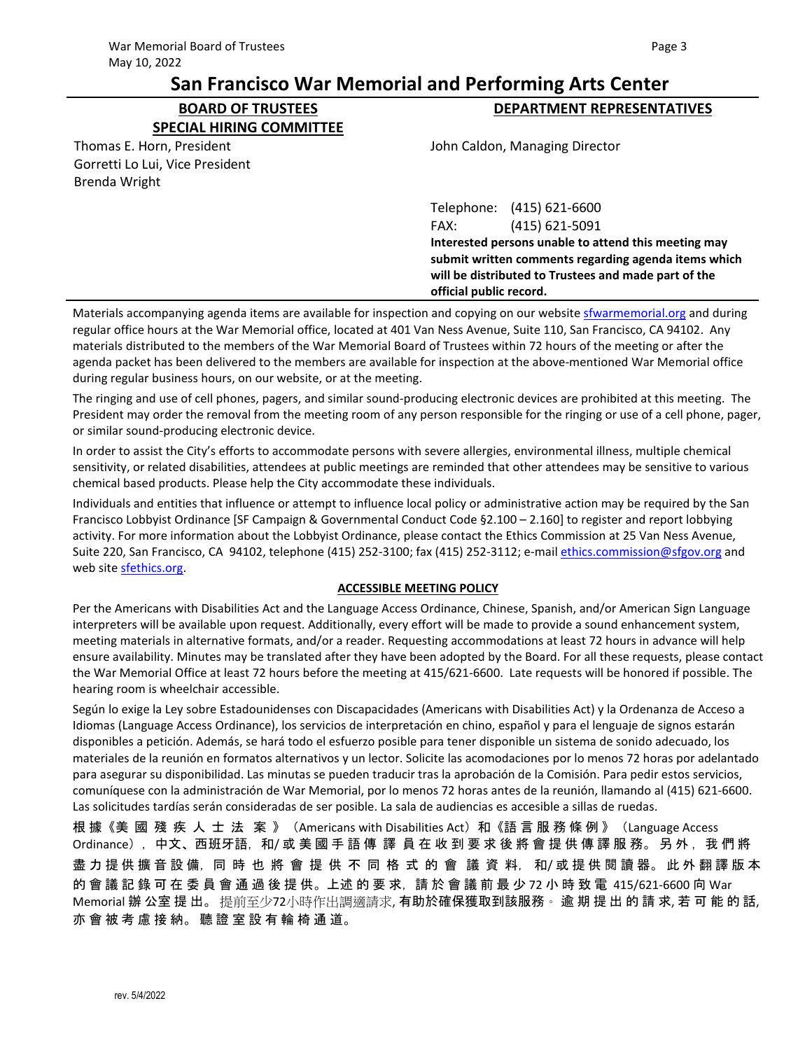# **San Francisco War Memorial and Performing Arts Center**

**DEPARTMENT REPRESENTATIVES**

**BOARD OF TRUSTEES SPECIAL HIRING COMMITTEE**

John Caldon, Managing Director

| Thomas E. Horn, President       |  |
|---------------------------------|--|
| Gorretti Lo Lui, Vice President |  |
| <b>Brenda Wright</b>            |  |

Telephone: (415) 621-6600 FAX: (415) 621-5091 **Interested persons unable to attend this meeting may submit written comments regarding agenda items which will be distributed to Trustees and made part of the official public record.**

Materials accompanying agenda items are available for inspection and copying on our website *sfwarmemorial.org* and during regular office hours at the War Memorial office, located at 401 Van Ness Avenue, Suite 110, San Francisco, CA 94102. Any materials distributed to the members of the War Memorial Board of Trustees within 72 hours of the meeting or after the agenda packet has been delivered to the members are available for inspection at the above-mentioned War Memorial office during regular business hours, on our website, or at the meeting.

The ringing and use of cell phones, pagers, and similar sound-producing electronic devices are prohibited at this meeting. The President may order the removal from the meeting room of any person responsible for the ringing or use of a cell phone, pager, or similar sound-producing electronic device.

In order to assist the City's efforts to accommodate persons with severe allergies, environmental illness, multiple chemical sensitivity, or related disabilities, attendees at public meetings are reminded that other attendees may be sensitive to various chemical based products. Please help the City accommodate these individuals.

Individuals and entities that influence or attempt to influence local policy or administrative action may be required by the San Francisco Lobbyist Ordinance [SF Campaign & Governmental Conduct Code §2.100 – 2.160] to register and report lobbying activity. For more information about the Lobbyist Ordinance, please contact the Ethics Commission at 25 Van Ness Avenue, Suite 220, San Francisco, CA 94102, telephone (415) 252-3100; fax (415) 252-3112; e-mail [ethics.commission@sfgov.org](mailto:ethics.commission@sfgov.org) and web site sfethics.org.

#### **ACCESSIBLE MEETING POLICY**

Per the Americans with Disabilities Act and the Language Access Ordinance, Chinese, Spanish, and/or American Sign Language interpreters will be available upon request. Additionally, every effort will be made to provide a sound enhancement system, meeting materials in alternative formats, and/or a reader. Requesting accommodations at least 72 hours in advance will help ensure availability. Minutes may be translated after they have been adopted by the Board. For all these requests, please contact the War Memorial Office at least 72 hours before the meeting at 415/621-6600. Late requests will be honored if possible. The hearing room is wheelchair accessible.

Según lo exige la Ley sobre Estadounidenses con Discapacidades (Americans with Disabilities Act) y la Ordenanza de Acceso a Idiomas (Language Access Ordinance), los servicios de interpretación en chino, español y para el lenguaje de signos estarán disponibles a petición. Además, se hará todo el esfuerzo posible para tener disponible un sistema de sonido adecuado, los materiales de la reunión en formatos alternativos y un lector. Solicite las acomodaciones por lo menos 72 horas por adelantado para asegurar su disponibilidad. Las minutas se pueden traducir tras la aprobación de la Comisión. Para pedir estos servicios, comuníquese con la administración de War Memorial, por lo menos 72 horas antes de la reunión, llamando al (415) 621-6600. Las solicitudes tardías serán consideradas de ser posible. La sala de audiencias es accesible a sillas de ruedas.

根 據《美 國 殘 疾 人 士 法 案 》(Americans with Disabilities Act)和《語言 服 務 條 例 》(Language Access Ordinance), 中文、西班牙語, 和/ 或 美 國 手 語 傳 譯 員 在 收 到 要 求 後 將 會 提 供 傳 譯 服 務。 另 外, 我 們 將 盡 力 提 供 擴 音 設 備,同 時 也 將 會 提 供 不 同 格 式 的 會 議 資 料,和/ 或 提 供 閱 讀 器。此 外 翻 譯 版 本 的 會 議 記 錄 可 在 委 員 會 通 過 後 提 供。上述 的 要 求, 請 於 會 議 前 最 少 72 小 時 致 電 415/621-6600 向 War Memorial 辦 公室 提 出。 提前至少72小時作出調適請求, 有助於確保獲取到該服務。 逾 期 提 出 的 請 求, 若 可 能 的 話, 亦 會 被 考 慮 接 納。 聽 證 室 設 有 輪 椅 通 道。